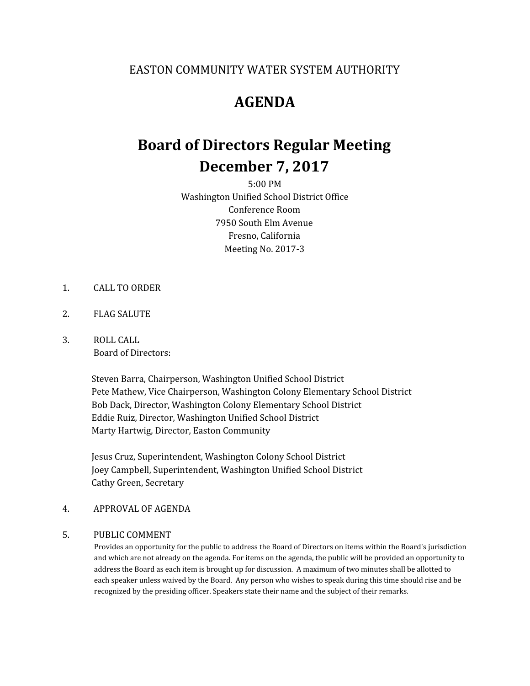### EASTON COMMUNITY WATER SYSTEM AUTHORITY

## **AGENDA**

# **Board of Directors Regular Meeting December 7, 2017**

5:00 PM Washington Unified School District Office Conference Room 7950 South Elm Avenue Fresno, California Meeting No. 2017-3

- 1. CALL TO ORDER
- 2. FLAG SALUTE
- 3. ROLL CALL Board of Directors:

Steven Barra, Chairperson, Washington Unified School District Pete Mathew, Vice Chairperson, Washington Colony Elementary School District Bob Dack, Director, Washington Colony Elementary School District Eddie Ruiz, Director, Washington Unified School District Marty Hartwig, Director, Easton Community

Jesus Cruz, Superintendent, Washington Colony School District Joey Campbell, Superintendent, Washington Unified School District Cathy Green, Secretary

#### 4. APPROVAL OF AGENDA

### 5. PUBLIC COMMENT

Provides an opportunity for the public to address the Board of Directors on items within the Board's jurisdiction and which are not already on the agenda. For items on the agenda, the public will be provided an opportunity to address the Board as each item is brought up for discussion. A maximum of two minutes shall be allotted to each speaker unless waived by the Board. Any person who wishes to speak during this time should rise and be recognized by the presiding officer. Speakers state their name and the subject of their remarks.